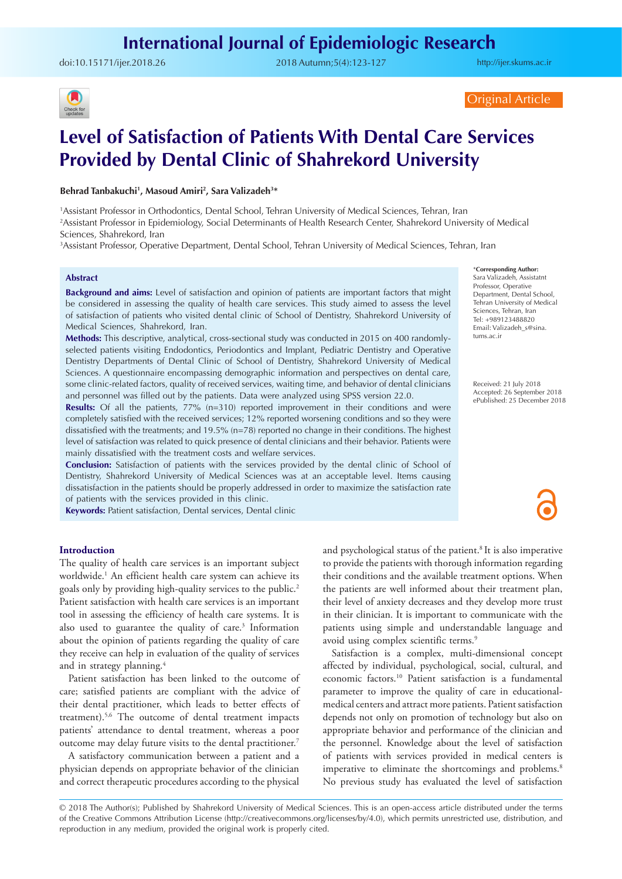doi:[10.15171/ijer.2018.26](https://doi.org/10.15171/ijer.2018.26 ) 2018 Autumn;5(4):123-127

<http://ijer.skums.ac.ir>



Original Article

# **Level of Satisfaction of Patients With Dental Care Services Provided by Dental Clinic of Shahrekord University**

# **Behrad Tanbakuchi1 , Masoud Amiri2 , Sara Valizadeh3 \***

1 Assistant Professor in Orthodontics, Dental School, Tehran University of Medical Sciences, Tehran, Iran 2 Assistant Professor in Epidemiology, Social Determinants of Health Research Center, Shahrekord University of Medical Sciences, Shahrekord, Iran

3 Assistant Professor, Operative Department, Dental School, Tehran University of Medical Sciences, Tehran, Iran

#### **Abstract**

**Background and aims:** Level of satisfaction and opinion of patients are important factors that might be considered in assessing the quality of health care services. This study aimed to assess the level of satisfaction of patients who visited dental clinic of School of Dentistry, Shahrekord University of Medical Sciences, Shahrekord, Iran.

**Methods:** This descriptive, analytical, cross-sectional study was conducted in 2015 on 400 randomlyselected patients visiting Endodontics, Periodontics and Implant, Pediatric Dentistry and Operative Dentistry Departments of Dental Clinic of School of Dentistry, Shahrekord University of Medical Sciences. A questionnaire encompassing demographic information and perspectives on dental care, some clinic-related factors, quality of received services, waiting time, and behavior of dental clinicians and personnel was filled out by the patients. Data were analyzed using SPSS version 22.0.

**Results:** Of all the patients, 77% (n=310) reported improvement in their conditions and were completely satisfied with the received services; 12% reported worsening conditions and so they were dissatisfied with the treatments; and 19.5% (n=78) reported no change in their conditions. The highest level of satisfaction was related to quick presence of dental clinicians and their behavior. Patients were mainly dissatisfied with the treatment costs and welfare services.

**Conclusion:** Satisfaction of patients with the services provided by the dental clinic of School of Dentistry, Shahrekord University of Medical Sciences was at an acceptable level. Items causing dissatisfaction in the patients should be properly addressed in order to maximize the satisfaction rate of patients with the services provided in this clinic.

**Keywords:** Patient satisfaction, Dental services, Dental clinic

\***Corresponding Author:** Sara Valizadeh, Assistatnt Professor, Operative Department, Dental School, Tehran University of Medical Sciences, Tehran, Iran Tel: +989123488820 Email: Valizadeh\_s@sina. tums.ac.ir

Received: 21 July 2018 Accepted: 26 September 2018 ePublished: 25 December 2018



#### **Introduction**

The quality of health care services is an important subject worldwide.1 An efficient health care system can achieve its goals only by providing high-quality services to the public.<sup>2</sup> Patient satisfaction with health care services is an important tool in assessing the efficiency of health care systems. It is also used to guarantee the quality of care.3 Information about the opinion of patients regarding the quality of care they receive can help in evaluation of the quality of services and in strategy planning.<sup>4</sup>

Patient satisfaction has been linked to the outcome of care; satisfied patients are compliant with the advice of their dental practitioner, which leads to better effects of treatment).5,6 The outcome of dental treatment impacts patients' attendance to dental treatment, whereas a poor outcome may delay future visits to the dental practitioner.<sup>7</sup>

A satisfactory communication between a patient and a physician depends on appropriate behavior of the clinician and correct therapeutic procedures according to the physical and psychological status of the patient.<sup>8</sup> It is also imperative to provide the patients with thorough information regarding their conditions and the available treatment options. When the patients are well informed about their treatment plan, their level of anxiety decreases and they develop more trust in their clinician. It is important to communicate with the patients using simple and understandable language and avoid using complex scientific terms.<sup>9</sup>

Satisfaction is a complex, multi-dimensional concept affected by individual, psychological, social, cultural, and economic factors.10 Patient satisfaction is a fundamental parameter to improve the quality of care in educationalmedical centers and attract more patients. Patient satisfaction depends not only on promotion of technology but also on appropriate behavior and performance of the clinician and the personnel. Knowledge about the level of satisfaction of patients with services provided in medical centers is imperative to eliminate the shortcomings and problems.<sup>8</sup> No previous study has evaluated the level of satisfaction

© 2018 The Author(s); Published by Shahrekord University of Medical Sciences. This is an open-access article distributed under the terms of the Creative Commons Attribution License (http://creativecommons.org/licenses/by/4.0), which permits unrestricted use, distribution, and reproduction in any medium, provided the original work is properly cited.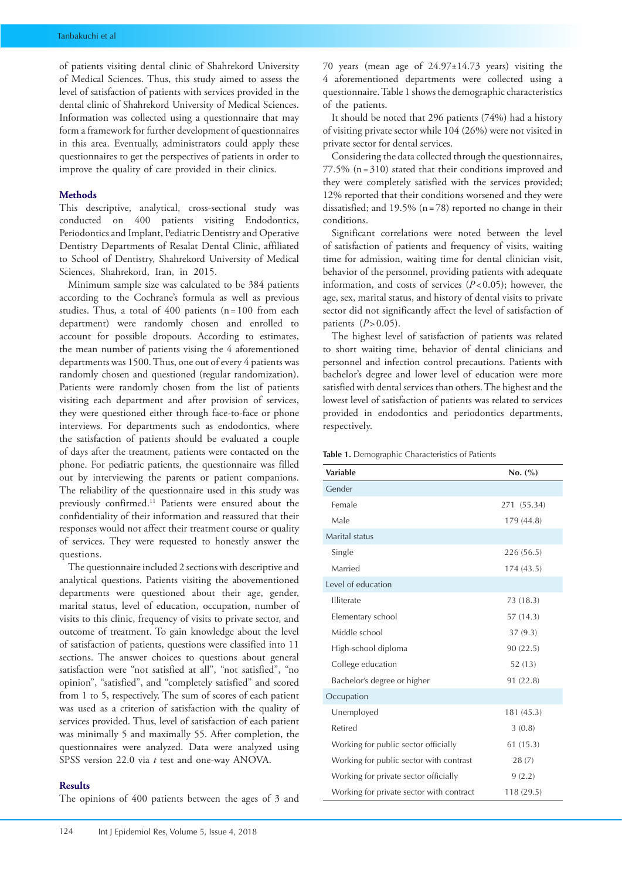of patients visiting dental clinic of Shahrekord University of Medical Sciences. Thus, this study aimed to assess the level of satisfaction of patients with services provided in the dental clinic of Shahrekord University of Medical Sciences. Information was collected using a questionnaire that may form a framework for further development of questionnaires in this area. Eventually, administrators could apply these questionnaires to get the perspectives of patients in order to improve the quality of care provided in their clinics.

# **Methods**

This descriptive, analytical, cross-sectional study was conducted on 400 patients visiting Endodontics, Periodontics and Implant, Pediatric Dentistry and Operative Dentistry Departments of Resalat Dental Clinic, affiliated to School of Dentistry, Shahrekord University of Medical Sciences, Shahrekord, Iran, in 2015.

Minimum sample size was calculated to be 384 patients according to the Cochrane's formula as well as previous studies. Thus, a total of  $400$  patients (n=100 from each department) were randomly chosen and enrolled to account for possible dropouts. According to estimates, the mean number of patients vising the 4 aforementioned departments was 1500. Thus, one out of every 4 patients was randomly chosen and questioned (regular randomization). Patients were randomly chosen from the list of patients visiting each department and after provision of services, they were questioned either through face-to-face or phone interviews. For departments such as endodontics, where the satisfaction of patients should be evaluated a couple of days after the treatment, patients were contacted on the phone. For pediatric patients, the questionnaire was filled out by interviewing the parents or patient companions. The reliability of the questionnaire used in this study was previously confirmed.11 Patients were ensured about the confidentiality of their information and reassured that their responses would not affect their treatment course or quality of services. They were requested to honestly answer the questions.

The questionnaire included 2 sections with descriptive and analytical questions. Patients visiting the abovementioned departments were questioned about their age, gender, marital status, level of education, occupation, number of visits to this clinic, frequency of visits to private sector, and outcome of treatment. To gain knowledge about the level of satisfaction of patients, questions were classified into 11 sections. The answer choices to questions about general satisfaction were "not satisfied at all", "not satisfied", "no opinion", "satisfied", and "completely satisfied" and scored from 1 to 5, respectively. The sum of scores of each patient was used as a criterion of satisfaction with the quality of services provided. Thus, level of satisfaction of each patient was minimally 5 and maximally 55. After completion, the questionnaires were analyzed. Data were analyzed using SPSS version 22.0 via *t* test and one-way ANOVA.

# **Results**

The opinions of 400 patients between the ages of 3 and

70 years (mean age of 24.97±14.73 years) visiting the 4 aforementioned departments were collected using a questionnaire. Table 1 shows the demographic characteristics of the patients.

It should be noted that 296 patients (74%) had a history of visiting private sector while 104 (26%) were not visited in private sector for dental services.

Considering the data collected through the questionnaires, 77.5% (n=310) stated that their conditions improved and they were completely satisfied with the services provided; 12% reported that their conditions worsened and they were dissatisfied; and  $19.5\%$  (n = 78) reported no change in their conditions.

Significant correlations were noted between the level of satisfaction of patients and frequency of visits, waiting time for admission, waiting time for dental clinician visit, behavior of the personnel, providing patients with adequate information, and costs of services (*P*<0.05); however, the age, sex, marital status, and history of dental visits to private sector did not significantly affect the level of satisfaction of patients  $(P>0.05)$ .

The highest level of satisfaction of patients was related to short waiting time, behavior of dental clinicians and personnel and infection control precautions. Patients with bachelor's degree and lower level of education were more satisfied with dental services than others. The highest and the lowest level of satisfaction of patients was related to services provided in endodontics and periodontics departments, respectively.

**Table 1.** Demographic Characteristics of Patients

| Variable                                 | No. (%)     |
|------------------------------------------|-------------|
| Gender                                   |             |
| Female                                   | 271 (55.34) |
| Male                                     | 179 (44.8)  |
| Marital status                           |             |
| Single                                   | 226 (56.5)  |
| Married                                  | 174(43.5)   |
| Level of education                       |             |
| Illiterate                               | 73 (18.3)   |
| Elementary school                        | 57 (14.3)   |
| Middle school                            | 37(9.3)     |
| High-school diploma                      | 90 (22.5)   |
| College education                        | 52 (13)     |
| Bachelor's degree or higher              | 91 (22.8)   |
| Occupation                               |             |
| Unemployed                               | 181(45.3)   |
| Retired                                  | 3(0.8)      |
| Working for public sector officially     | 61 (15.3)   |
| Working for public sector with contrast  | 28(7)       |
| Working for private sector officially    | 9(2.2)      |
| Working for private sector with contract | 118(29.5)   |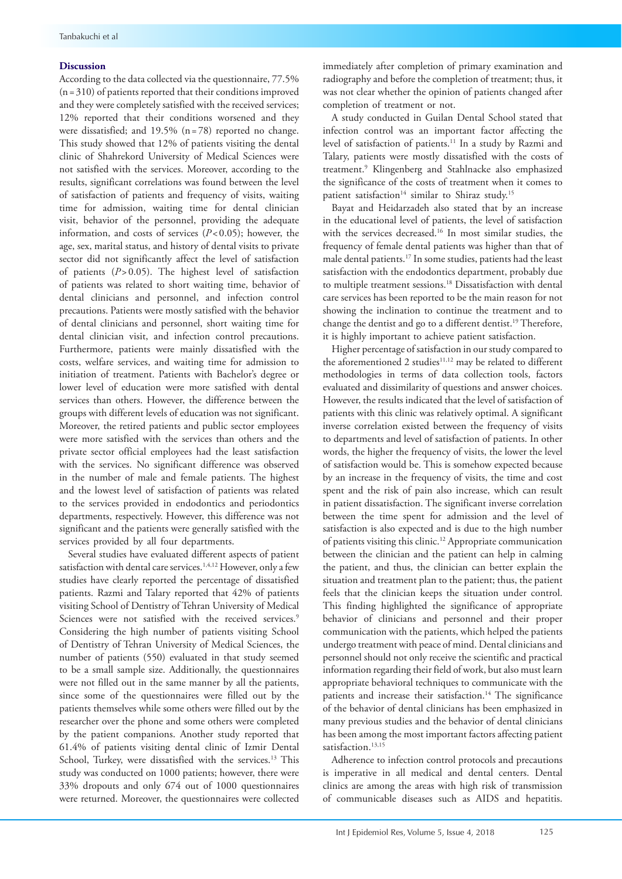# **Discussion**

According to the data collected via the questionnaire, 77.5%  $(n=310)$  of patients reported that their conditions improved and they were completely satisfied with the received services; 12% reported that their conditions worsened and they were dissatisfied; and 19.5% (n=78) reported no change. This study showed that 12% of patients visiting the dental clinic of Shahrekord University of Medical Sciences were not satisfied with the services. Moreover, according to the results, significant correlations was found between the level of satisfaction of patients and frequency of visits, waiting time for admission, waiting time for dental clinician visit, behavior of the personnel, providing the adequate information, and costs of services (*P*< 0.05); however, the age, sex, marital status, and history of dental visits to private sector did not significantly affect the level of satisfaction of patients (*P*>0.05). The highest level of satisfaction of patients was related to short waiting time, behavior of dental clinicians and personnel, and infection control precautions. Patients were mostly satisfied with the behavior of dental clinicians and personnel, short waiting time for dental clinician visit, and infection control precautions. Furthermore, patients were mainly dissatisfied with the costs, welfare services, and waiting time for admission to initiation of treatment. Patients with Bachelor's degree or lower level of education were more satisfied with dental services than others. However, the difference between the groups with different levels of education was not significant. Moreover, the retired patients and public sector employees were more satisfied with the services than others and the private sector official employees had the least satisfaction with the services. No significant difference was observed in the number of male and female patients. The highest and the lowest level of satisfaction of patients was related to the services provided in endodontics and periodontics departments, respectively. However, this difference was not significant and the patients were generally satisfied with the services provided by all four departments.

Several studies have evaluated different aspects of patient satisfaction with dental care services.<sup>1,4,12</sup> However, only a few studies have clearly reported the percentage of dissatisfied patients. Razmi and Talary reported that 42% of patients visiting School of Dentistry of Tehran University of Medical Sciences were not satisfied with the received services.<sup>9</sup> Considering the high number of patients visiting School of Dentistry of Tehran University of Medical Sciences, the number of patients (550) evaluated in that study seemed to be a small sample size. Additionally, the questionnaires were not filled out in the same manner by all the patients, since some of the questionnaires were filled out by the patients themselves while some others were filled out by the researcher over the phone and some others were completed by the patient companions. Another study reported that 61.4% of patients visiting dental clinic of Izmir Dental School, Turkey, were dissatisfied with the services.<sup>13</sup> This study was conducted on 1000 patients; however, there were 33% dropouts and only 674 out of 1000 questionnaires were returned. Moreover, the questionnaires were collected immediately after completion of primary examination and radiography and before the completion of treatment; thus, it was not clear whether the opinion of patients changed after completion of treatment or not.

A study conducted in Guilan Dental School stated that infection control was an important factor affecting the level of satisfaction of patients.<sup>11</sup> In a study by Razmi and Talary, patients were mostly dissatisfied with the costs of treatment.9 Klingenberg and Stahlnacke also emphasized the significance of the costs of treatment when it comes to patient satisfaction<sup>14</sup> similar to Shiraz study.<sup>15</sup>

Bayat and Heidarzadeh also stated that by an increase in the educational level of patients, the level of satisfaction with the services decreased.16 In most similar studies, the frequency of female dental patients was higher than that of male dental patients.17 In some studies, patients had the least satisfaction with the endodontics department, probably due to multiple treatment sessions.<sup>18</sup> Dissatisfaction with dental care services has been reported to be the main reason for not showing the inclination to continue the treatment and to change the dentist and go to a different dentist.<sup>19</sup> Therefore, it is highly important to achieve patient satisfaction.

Higher percentage of satisfaction in our study compared to the aforementioned 2 studies $11,12$  may be related to different methodologies in terms of data collection tools, factors evaluated and dissimilarity of questions and answer choices. However, the results indicated that the level of satisfaction of patients with this clinic was relatively optimal. A significant inverse correlation existed between the frequency of visits to departments and level of satisfaction of patients. In other words, the higher the frequency of visits, the lower the level of satisfaction would be. This is somehow expected because by an increase in the frequency of visits, the time and cost spent and the risk of pain also increase, which can result in patient dissatisfaction. The significant inverse correlation between the time spent for admission and the level of satisfaction is also expected and is due to the high number of patients visiting this clinic.<sup>12</sup> Appropriate communication between the clinician and the patient can help in calming the patient, and thus, the clinician can better explain the situation and treatment plan to the patient; thus, the patient feels that the clinician keeps the situation under control. This finding highlighted the significance of appropriate behavior of clinicians and personnel and their proper communication with the patients, which helped the patients undergo treatment with peace of mind. Dental clinicians and personnel should not only receive the scientific and practical information regarding their field of work, but also must learn appropriate behavioral techniques to communicate with the patients and increase their satisfaction.<sup>14</sup> The significance of the behavior of dental clinicians has been emphasized in many previous studies and the behavior of dental clinicians has been among the most important factors affecting patient satisfaction.<sup>13,15</sup>

Adherence to infection control protocols and precautions is imperative in all medical and dental centers. Dental clinics are among the areas with high risk of transmission of communicable diseases such as AIDS and hepatitis.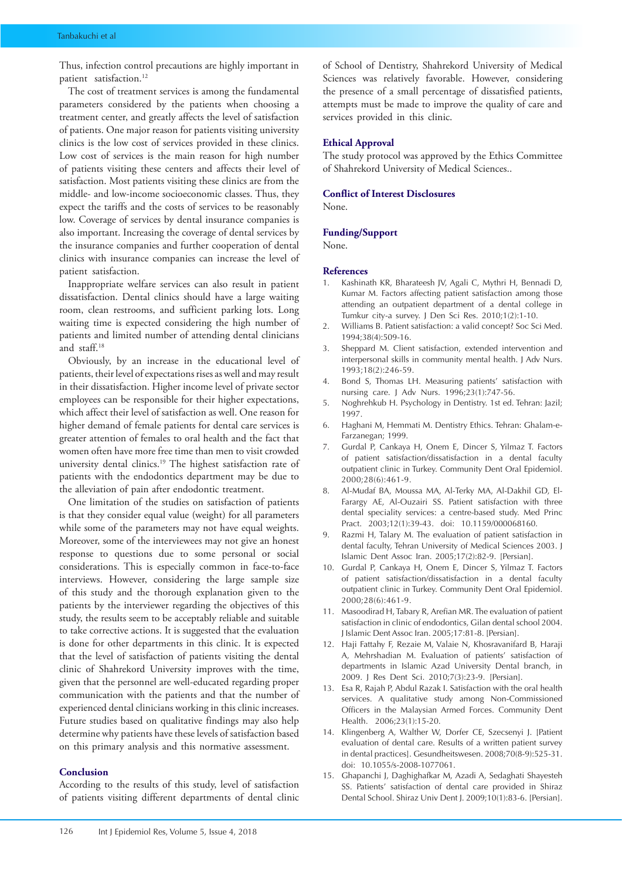Thus, infection control precautions are highly important in patient satisfaction.<sup>12</sup>

The cost of treatment services is among the fundamental parameters considered by the patients when choosing a treatment center, and greatly affects the level of satisfaction of patients. One major reason for patients visiting university clinics is the low cost of services provided in these clinics. Low cost of services is the main reason for high number of patients visiting these centers and affects their level of satisfaction. Most patients visiting these clinics are from the middle- and low-income socioeconomic classes. Thus, they expect the tariffs and the costs of services to be reasonably low. Coverage of services by dental insurance companies is also important. Increasing the coverage of dental services by the insurance companies and further cooperation of dental clinics with insurance companies can increase the level of patient satisfaction.

Inappropriate welfare services can also result in patient dissatisfaction. Dental clinics should have a large waiting room, clean restrooms, and sufficient parking lots. Long waiting time is expected considering the high number of patients and limited number of attending dental clinicians and staff.18

Obviously, by an increase in the educational level of patients, their level of expectations rises as well and may result in their dissatisfaction. Higher income level of private sector employees can be responsible for their higher expectations, which affect their level of satisfaction as well. One reason for higher demand of female patients for dental care services is greater attention of females to oral health and the fact that women often have more free time than men to visit crowded university dental clinics.19 The highest satisfaction rate of patients with the endodontics department may be due to the alleviation of pain after endodontic treatment.

One limitation of the studies on satisfaction of patients is that they consider equal value (weight) for all parameters while some of the parameters may not have equal weights. Moreover, some of the interviewees may not give an honest response to questions due to some personal or social considerations. This is especially common in face-to-face interviews. However, considering the large sample size of this study and the thorough explanation given to the patients by the interviewer regarding the objectives of this study, the results seem to be acceptably reliable and suitable to take corrective actions. It is suggested that the evaluation is done for other departments in this clinic. It is expected that the level of satisfaction of patients visiting the dental clinic of Shahrekord University improves with the time, given that the personnel are well-educated regarding proper communication with the patients and that the number of experienced dental clinicians working in this clinic increases. Future studies based on qualitative findings may also help determine why patients have these levels of satisfaction based on this primary analysis and this normative assessment.

#### **Conclusion**

According to the results of this study, level of satisfaction of patients visiting different departments of dental clinic of School of Dentistry, Shahrekord University of Medical Sciences was relatively favorable. However, considering the presence of a small percentage of dissatisfied patients, attempts must be made to improve the quality of care and services provided in this clinic.

# **Ethical Approval**

The study protocol was approved by the Ethics Committee of Shahrekord University of Medical Sciences..

# **Conflict of Interest Disclosures**

None.

# **Funding/Support**

None.

### **References**

- 1. Kashinath KR, Bharateesh JV, Agali C, Mythri H, Bennadi D, Kumar M. Factors affecting patient satisfaction among those attending an outpatient department of a dental college in Tumkur city-a survey. J Den Sci Res. 2010;1(2):1-10.
- 2. Williams B. Patient satisfaction: a valid concept? Soc Sci Med. 1994;38(4):509-16.
- 3. Sheppard M. Client satisfaction, extended intervention and interpersonal skills in community mental health. J Adv Nurs. 1993;18(2):246-59.
- 4. Bond S, Thomas LH. Measuring patients' satisfaction with nursing care. J Adv Nurs. 1996;23(1):747-56.
- 5. Noghrehkub H. Psychology in Dentistry. 1st ed. Tehran: Jazil; 1997.
- 6. Haghani M, Hemmati M. Dentistry Ethics. Tehran: Ghalam-e-Farzanegan; 1999.
- 7. Gurdal P, Cankaya H, Onem E, Dincer S, Yilmaz T. Factors of patient satisfaction/dissatisfaction in a dental faculty outpatient clinic in Turkey. Community Dent Oral Epidemiol. 2000;28(6):461-9.
- 8. Al-Mudaf BA, Moussa MA, Al-Terky MA, Al-Dakhil GD, El-Farargy AE, Al-Ouzairi SS. Patient satisfaction with three dental speciality services: a centre-based study. Med Princ Pract. 2003;12(1):39-43. doi: 10.1159/000068160.
- 9. Razmi H, Talary M. The evaluation of patient satisfaction in dental faculty, Tehran University of Medical Sciences 2003. J Islamic Dent Assoc Iran. 2005;17(2):82-9. [Persian].
- 10. Gurdal P, Cankaya H, Onem E, Dincer S, Yilmaz T. Factors of patient satisfaction/dissatisfaction in a dental faculty outpatient clinic in Turkey. Community Dent Oral Epidemiol. 2000;28(6):461-9.
- 11. Masoodirad H, Tabary R, Arefian MR. The evaluation of patient satisfaction in clinic of endodontics, Gilan dental school 2004. J Islamic Dent Assoc Iran. 2005;17:81-8. [Persian].
- 12. Haji Fattahy F, Rezaie M, Valaie N, Khosravanifard B, Haraji A, Mehrshadian M. Evaluation of patients' satisfaction of departments in Islamic Azad University Dental branch, in 2009. J Res Dent Sci. 2010;7(3):23-9. [Persian].
- 13. Esa R, Rajah P, Abdul Razak I. Satisfaction with the oral health services. A qualitative study among Non-Commissioned Officers in the Malaysian Armed Forces. Community Dent Health. 2006;23(1):15-20.
- 14. Klingenberg A, Walther W, Dorfer CE, Szecsenyi J. [Patient evaluation of dental care. Results of a written patient survey in dental practices]. Gesundheitswesen. 2008;70(8-9):525-31. doi: 10.1055/s-2008-1077061.
- 15. Ghapanchi J, Daghighafkar M, Azadi A, Sedaghati Shayesteh SS. Patients' satisfaction of dental care provided in Shiraz Dental School. Shiraz Univ Dent J. 2009;10(1):83-6. [Persian].